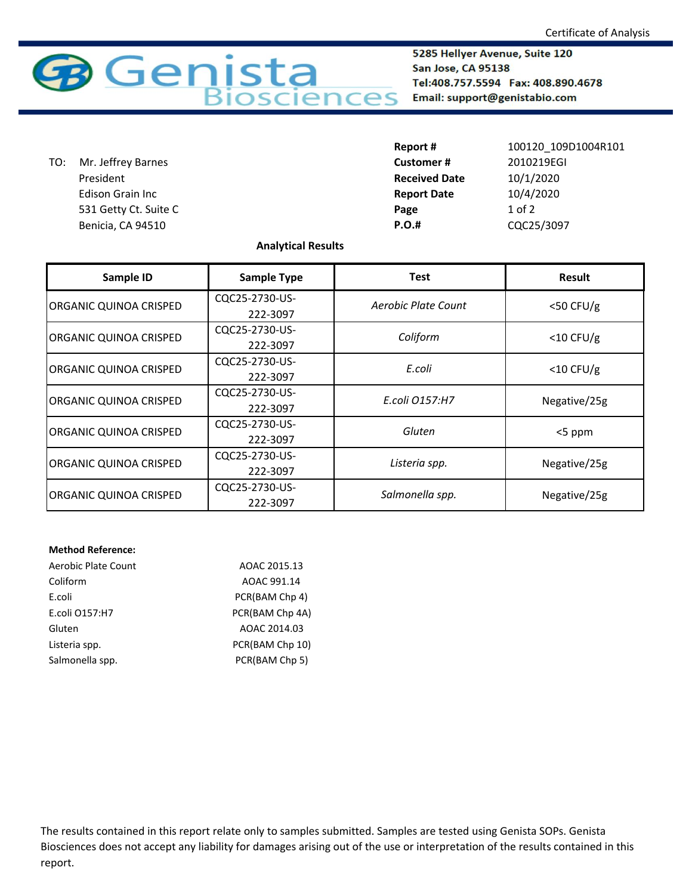

5285 Hellyer Avenue, Suite 120 San Jose, CA 95138 Tel:408.757.5594 Fax: 408.890.4678 Email: support@genistabio.com

 531 Getty Ct. Suite C **Page** 1 of 2 **Benicia, CA 94510 P.C.** TO: Mr. Jeffrey Barnes President Edison Grain Inc

| Report #             | 100120 109D1004R101 |
|----------------------|---------------------|
| Customer #           | 2010219EGI          |
| <b>Received Date</b> | 10/1/2020           |
| <b>Report Date</b>   | 10/4/2020           |
| Page                 | $1$ of $2$          |
| P.O.#                | CQC25/3097          |

## **Analytical Results**

| Sample ID              | <b>Sample Type</b> | <b>Test</b>         | <b>Result</b> |
|------------------------|--------------------|---------------------|---------------|
| ORGANIC QUINOA CRISPED | CQC25-2730-US-     | Aerobic Plate Count | $<$ 50 CFU/g  |
|                        | 222-3097           |                     |               |
| ORGANIC QUINOA CRISPED | CQC25-2730-US-     | Coliform            | $<$ 10 CFU/g  |
|                        | 222-3097           |                     |               |
| ORGANIC QUINOA CRISPED | CQC25-2730-US-     | E.coli              | $<$ 10 CFU/g  |
|                        | 222-3097           |                     |               |
| ORGANIC QUINOA CRISPED | CQC25-2730-US-     | E.coli 0157:H7      | Negative/25g  |
|                        | 222-3097           |                     |               |
| ORGANIC QUINOA CRISPED | CQC25-2730-US-     | Gluten              | $<$ 5 ppm     |
|                        | 222-3097           |                     |               |
| ORGANIC QUINOA CRISPED | CQC25-2730-US-     |                     | Negative/25g  |
|                        | 222-3097           | Listeria spp.       |               |
| ORGANIC QUINOA CRISPED | CQC25-2730-US-     | Salmonella spp.     | Negative/25g  |
|                        | 222-3097           |                     |               |

## **Method Reference:**

| Aerobic Plate Count | AOAC 2015.13    |
|---------------------|-----------------|
| Coliform            | AOAC 991.14     |
| E.coli              | PCR(BAM Chp 4)  |
| E.coli 0157:H7      | PCR(BAM Chp 4A) |
| Gluten              | AOAC 2014.03    |
| Listeria spp.       | PCR(BAM Chp 10) |
| Salmonella spp.     | PCR(BAM Chp 5)  |

The results contained in this report relate only to samples submitted. Samples are tested using Genista SOPs. Genista Biosciences does not accept any liability for damages arising out of the use or interpretation of the results contained in this report.